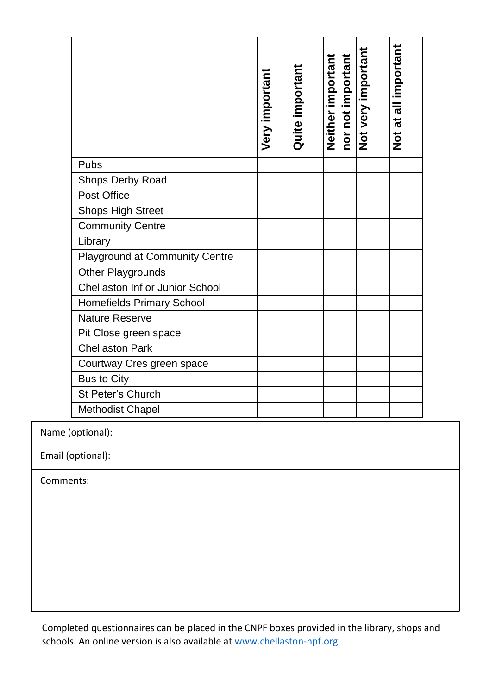|                                 | Very important | Quite important | nor not important<br>Neither important | Not very important | Not at all important |
|---------------------------------|----------------|-----------------|----------------------------------------|--------------------|----------------------|
| Pubs                            |                |                 |                                        |                    |                      |
| Shops Derby Road                |                |                 |                                        |                    |                      |
| Post Office                     |                |                 |                                        |                    |                      |
| Shops High Street               |                |                 |                                        |                    |                      |
| <b>Community Centre</b>         |                |                 |                                        |                    |                      |
| Library                         |                |                 |                                        |                    |                      |
| Playground at Community Centre  |                |                 |                                        |                    |                      |
| Other Playgrounds               |                |                 |                                        |                    |                      |
| Chellaston Inf or Junior School |                |                 |                                        |                    |                      |
| Homefields Primary School       |                |                 |                                        |                    |                      |
| Nature Reserve                  |                |                 |                                        |                    |                      |
| Pit Close green space           |                |                 |                                        |                    |                      |
| <b>Chellaston Park</b>          |                |                 |                                        |                    |                      |
| Courtway Cres green space       |                |                 |                                        |                    |                      |
| Bus to City                     |                |                 |                                        |                    |                      |
| St Peter's Church               |                |                 |                                        |                    |                      |
| Methodist Chapel                |                |                 |                                        |                    |                      |

Name (optional):

Email (optional):

 Comments:

Completed questionnaires can be placed in the CNPF boxes provided in the library, shops and schools. An online version is also available a[t www.chellaston-npf.org](www.chellaston-npf.org)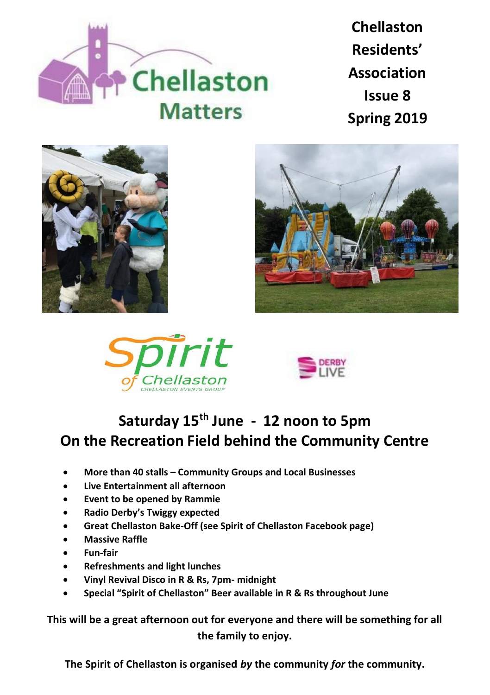

**Chellaston Residents' Association Issue 8 Spring 2019**









## **Saturday 15th June - 12 noon to 5pm On the Recreation Field behind the Community Centre**

- **More than 40 stalls – Community Groups and Local Businesses**
- **Live Entertainment all afternoon**
- **Event to be opened by Rammie**
- **Radio Derby's Twiggy expected**
- **Great Chellaston Bake-Off (see Spirit of Chellaston Facebook page)**
- **Massive Raffle**
- **Fun-fair**
- **Refreshments and light lunches**
- **Vinyl Revival Disco in R & Rs, 7pm- midnight**
- **Special "Spirit of Chellaston" Beer available in R & Rs throughout June**

**This will be a great afternoon out for everyone and there will be something for all the family to enjoy.**

**The Spirit of Chellaston is organised** *by* **the community** *for* **the community.**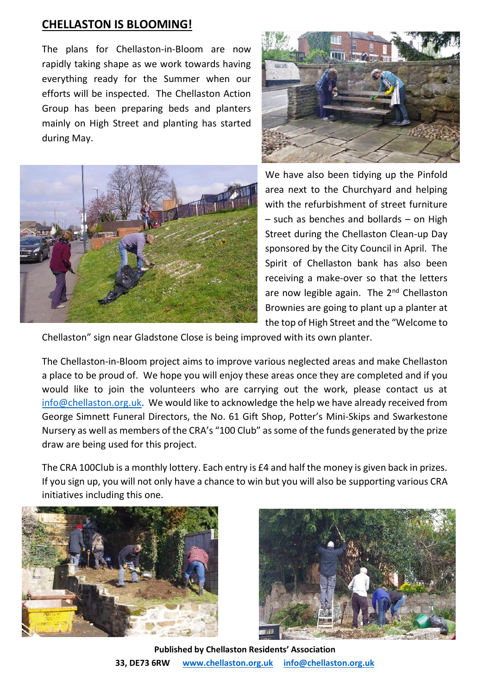## **CHELLASTON IS BLOOMING!**

The plans for Chellaston-in-Bloom are now rapidly taking shape as we work towards having everything ready for the Summer when our efforts will be inspected. The Chellaston Action Group has been preparing beds and planters mainly on High Street and planting has started during May.





We have also been tidying up the Pinfold area next to the Churchyard and helping with the refurbishment of street furniture – such as benches and bollards – on High Street during the Chellaston Clean-up Day sponsored by the City Council in April. The Spirit of Chellaston bank has also been receiving a make-over so that the letters are now legible again. The 2<sup>nd</sup> Chellaston Brownies are going to plant up a planter at the top of High Street and the "Welcome to

Chellaston" sign near Gladstone Close is being improved with its own planter.

The Chellaston-in-Bloom project aims to improve various neglected areas and make Chellaston a place to be proud of. We hope you will enjoy these areas once they are completed and if you would like to join the volunteers who are carrying out the work, please contact us at [info@chellaston.org.uk.](mailto:info@chellaston.org.uk) We would like to acknowledge the help we have already received from George Simnett Funeral Directors, the No. 61 Gift Shop, Potter's Mini-Skips and Swarkestone Nursery as well as members of the CRA's "100 Club" as some of the funds generated by the prize draw are being used for this project.

The CRA 100Club is a monthly lottery. Each entry is £4 and half the money is given back in prizes. If you sign up, you will not only have a chance to win but you will also be supporting various CRA initiatives including this one.





**Published by Chellaston Residents' Association 33, DE73 6RW [www.chellaston.org.uk](http://www.chellaston.org.uk/) [info@chellaston.org.uk](mailto:info@chellaston.org.uk)**